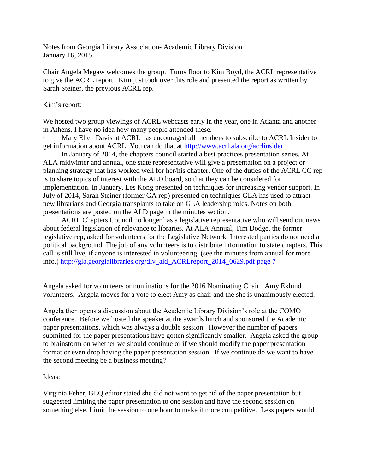Notes from Georgia Library Association- Academic Library Division January 16, 2015

Chair Angela Megaw welcomes the group. Turns floor to Kim Boyd, the ACRL representative to give the ACRL report. Kim just took over this role and presented the report as written by Sarah Steiner, the previous ACRL rep.

## Kim's report:

We hosted two group viewings of ACRL webcasts early in the year, one in Atlanta and another in Athens. I have no idea how many people attended these.

Mary Ellen Davis at ACRL has encouraged all members to subscribe to ACRL Insider to get information about ACRL. You can do that at [http://www.acrl.ala.org/acrlinsider.](http://www.acrl.ala.org/acrlinsider)

In January of 2014, the chapters council started a best practices presentation series. At ALA midwinter and annual, one state representative will give a presentation on a project or planning strategy that has worked well for her/his chapter. One of the duties of the ACRL CC rep is to share topics of interest with the ALD board, so that they can be considered for implementation. In January, Les Kong presented on techniques for increasing vendor support. In July of 2014, Sarah Steiner (former GA rep) presented on techniques GLA has used to attract new librarians and Georgia transplants to take on GLA leadership roles. Notes on both presentations are posted on the ALD page in the minutes section.

ACRL Chapters Council no longer has a legislative representative who will send out news about federal legislation of relevance to libraries. At ALA Annual, Tim Dodge, the former legislative rep, asked for volunteers for the Legislative Network. Interested parties do not need a political background. The job of any volunteers is to distribute information to state chapters. This call is still live, if anyone is interested in volunteering. (see the minutes from annual for more info.) [http://gla.georgialibraries.org/div\\_ald\\_ACRLreport\\_2014\\_0629.pdf page 7](http://gla.georgialibraries.org/div_ald_ACRLreport_2014_0629.pdf%20page%207)

Angela asked for volunteers or nominations for the 2016 Nominating Chair. Amy Eklund volunteers. Angela moves for a vote to elect Amy as chair and the she is unanimously elected.

Angela then opens a discussion about the Academic Library Division's role at the COMO conference. Before we hosted the speaker at the awards lunch and sponsored the Academic paper presentations, which was always a double session. However the number of papers submitted for the paper presentations have gotten significantly smaller. Angela asked the group to brainstorm on whether we should continue or if we should modify the paper presentation format or even drop having the paper presentation session. If we continue do we want to have the second meeting be a business meeting?

## Ideas:

Virginia Feher, GLQ editor stated she did not want to get rid of the paper presentation but suggested limiting the paper presentation to one session and have the second session on something else. Limit the session to one hour to make it more competitive. Less papers would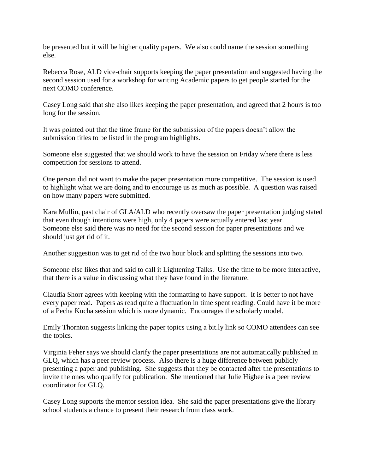be presented but it will be higher quality papers. We also could name the session something else.

Rebecca Rose, ALD vice-chair supports keeping the paper presentation and suggested having the second session used for a workshop for writing Academic papers to get people started for the next COMO conference.

Casey Long said that she also likes keeping the paper presentation, and agreed that 2 hours is too long for the session.

It was pointed out that the time frame for the submission of the papers doesn't allow the submission titles to be listed in the program highlights.

Someone else suggested that we should work to have the session on Friday where there is less competition for sessions to attend.

One person did not want to make the paper presentation more competitive. The session is used to highlight what we are doing and to encourage us as much as possible. A question was raised on how many papers were submitted.

Kara Mullin, past chair of GLA/ALD who recently oversaw the paper presentation judging stated that even though intentions were high, only 4 papers were actually entered last year. Someone else said there was no need for the second session for paper presentations and we should just get rid of it.

Another suggestion was to get rid of the two hour block and splitting the sessions into two.

Someone else likes that and said to call it Lightening Talks. Use the time to be more interactive, that there is a value in discussing what they have found in the literature.

Claudia Shorr agrees with keeping with the formatting to have support. It is better to not have every paper read. Papers as read quite a fluctuation in time spent reading. Could have it be more of a Pecha Kucha session which is more dynamic. Encourages the scholarly model.

Emily Thornton suggests linking the paper topics using a bit.ly link so COMO attendees can see the topics.

Virginia Feher says we should clarify the paper presentations are not automatically published in GLQ, which has a peer review process. Also there is a huge difference between publicly presenting a paper and publishing. She suggests that they be contacted after the presentations to invite the ones who qualify for publication. She mentioned that Julie Higbee is a peer review coordinator for GLQ.

Casey Long supports the mentor session idea. She said the paper presentations give the library school students a chance to present their research from class work.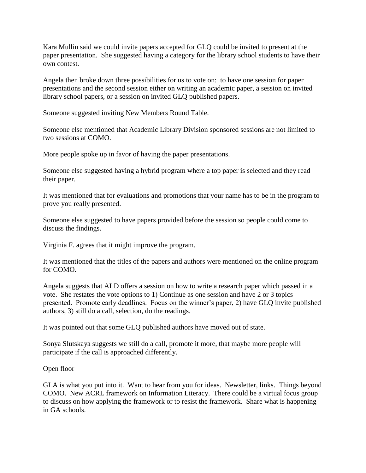Kara Mullin said we could invite papers accepted for GLQ could be invited to present at the paper presentation. She suggested having a category for the library school students to have their own contest.

Angela then broke down three possibilities for us to vote on: to have one session for paper presentations and the second session either on writing an academic paper, a session on invited library school papers, or a session on invited GLQ published papers.

Someone suggested inviting New Members Round Table.

Someone else mentioned that Academic Library Division sponsored sessions are not limited to two sessions at COMO.

More people spoke up in favor of having the paper presentations.

Someone else suggested having a hybrid program where a top paper is selected and they read their paper.

It was mentioned that for evaluations and promotions that your name has to be in the program to prove you really presented.

Someone else suggested to have papers provided before the session so people could come to discuss the findings.

Virginia F. agrees that it might improve the program.

It was mentioned that the titles of the papers and authors were mentioned on the online program for COMO.

Angela suggests that ALD offers a session on how to write a research paper which passed in a vote. She restates the vote options to 1) Continue as one session and have 2 or 3 topics presented. Promote early deadlines. Focus on the winner's paper, 2) have GLQ invite published authors, 3) still do a call, selection, do the readings.

It was pointed out that some GLQ published authors have moved out of state.

Sonya Slutskaya suggests we still do a call, promote it more, that maybe more people will participate if the call is approached differently.

## Open floor

GLA is what you put into it. Want to hear from you for ideas. Newsletter, links. Things beyond COMO. New ACRL framework on Information Literacy. There could be a virtual focus group to discuss on how applying the framework or to resist the framework. Share what is happening in GA schools.